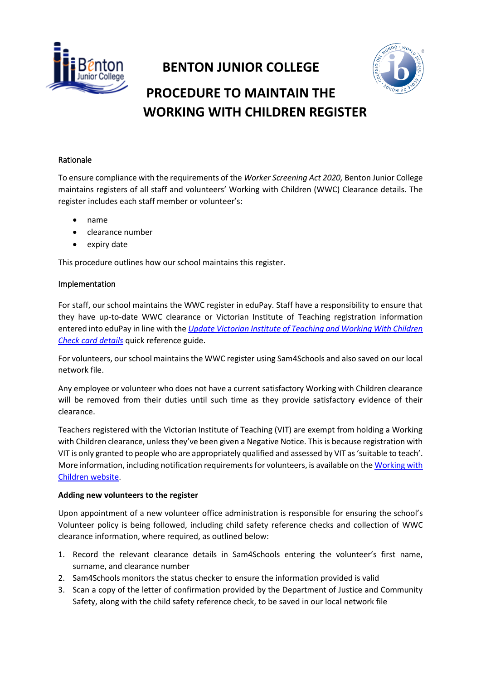

# **BENTON JUNIOR COLLEGE PROCEDURE TO MAINTAIN THE WORKING WITH CHILDREN REGISTER**

# Rationale

To ensure compliance with the requirements of the *Worker Screening Act 2020,* Benton Junior College maintains registers of all staff and volunteers' Working with Children (WWC) Clearance details. The register includes each staff member or volunteer's:

- name
- clearance number
- expiry date

This procedure outlines how our school maintains this register.

## Implementation

For staff, our school maintains the WWC register in eduPay. Staff have a responsibility to ensure that they have up-to-date WWC clearance or Victorian Institute of Teaching registration information entered into eduPay in line with the *[Update Victorian Institute of Teaching and Working With Children](https://edugate.eduweb.vic.gov.au/Services/HR/Documents/QRG-ESS-Record-VIT-WWCC.pdf)  [Check card details](https://edugate.eduweb.vic.gov.au/Services/HR/Documents/QRG-ESS-Record-VIT-WWCC.pdf)* quick reference guide.

For volunteers, our school maintains the WWC register using Sam4Schools and also saved on our local network file.

Any employee or volunteer who does not have a current satisfactory Working with Children clearance will be removed from their duties until such time as they provide satisfactory evidence of their clearance.

Teachers registered with the Victorian Institute of Teaching (VIT) are exempt from holding a Working with Children clearance, unless they've been given a Negative Notice. This is because registration with VIT is only granted to people who are appropriately qualified and assessed by VIT as 'suitable to teach'. More information, including notification requirements for volunteers, is available on th[e Working with](https://www.workingwithchildren.vic.gov.au/organisations/victorian-teacher-information)  [Children website.](https://www.workingwithchildren.vic.gov.au/organisations/victorian-teacher-information)

## **Adding new volunteers to the register**

Upon appointment of a new volunteer office administration is responsible for ensuring the school's Volunteer policy is being followed, including child safety reference checks and collection of WWC clearance information, where required, as outlined below:

- 1. Record the relevant clearance details in Sam4Schools entering the volunteer's first name, surname, and clearance number
- 2. Sam4Schools monitors the status checker to ensure the information provided is valid
- 3. Scan a copy of the letter of confirmation provided by the Department of Justice and Community Safety, along with the child safety reference check, to be saved in our local network file